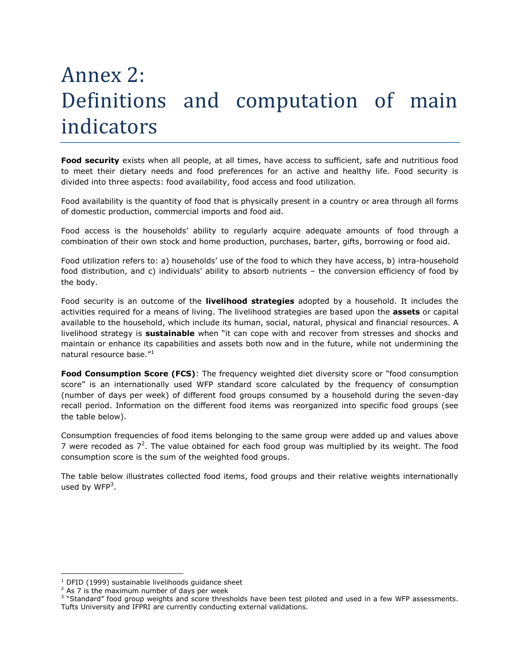## Annex 2: Definitions and computation of main indicators

**Food security** exists when all people, at all times, have access to sufficient, safe and nutritious food to meet their dietary needs and food preferences for an active and healthy life. Food security is divided into three aspects: food availability, food access and food utilization.

Food availability is the quantity of food that is physically present in a country or area through all forms of domestic production, commercial imports and food aid.

Food access is the households' ability to regularly acquire adequate amounts of food through a combination of their own stock and home production, purchases, barter, gifts, borrowing or food aid.

Food utilization refers to: a) households' use of the food to which they have access, b) intra-household food distribution, and c) individuals' ability to absorb nutrients – the conversion efficiency of food by the body.

Food security is an outcome of the **livelihood strategies** adopted by a household. It includes the activities required for a means of living. The livelihood strategies are based upon the **assets** or capital available to the household, which include its human, social, natural, physical and financial resources. A livelihood strategy is **sustainable** when "it can cope with and recover from stresses and shocks and maintain or enhance its capabilities and assets both now and in the future, while not undermining the natural resource base."<sup>1</sup>

**Food Consumption Score (FCS)**: The frequency weighted diet diversity score or "food consumption score" is an internationally used WFP standard score calculated by the frequency of consumption (number of days per week) of different food groups consumed by a household during the seven-day recall period. Information on the different food items was reorganized into specific food groups (see the table below).

Consumption frequencies of food items belonging to the same group were added up and values above 7 were recoded as  $7<sup>2</sup>$ . The value obtained for each food group was multiplied by its weight. The food consumption score is the sum of the weighted food groups.

The table below illustrates collected food items, food groups and their relative weights internationally used by WFP<sup>3</sup>.

 $1$  DFID (1999) sustainable livelihoods quidance sheet

 $2$  As 7 is the maximum number of days per week

<sup>&</sup>lt;sup>3</sup> "Standard" food group weights and score thresholds have been test piloted and used in a few WFP assessments. Tufts University and IFPRI are currently conducting external validations.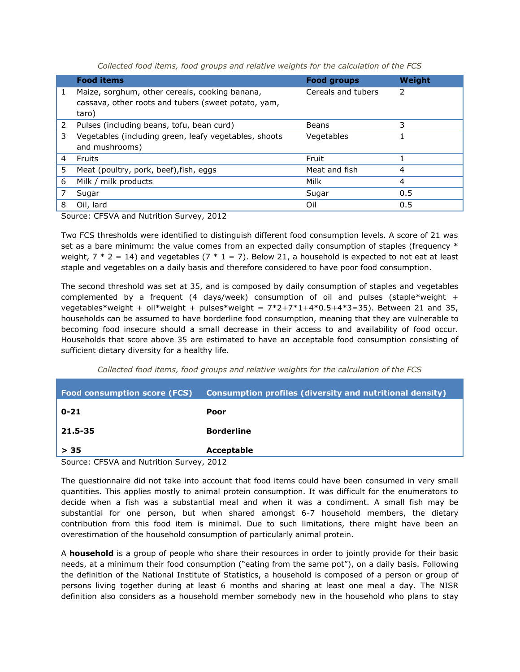*Collected food items, food groups and relative weights for the calculation of the FCS*

|   | <b>Food items</b>                                                                                              | <b>Food groups</b> | Weight |
|---|----------------------------------------------------------------------------------------------------------------|--------------------|--------|
| 1 | Maize, sorghum, other cereals, cooking banana,<br>cassava, other roots and tubers (sweet potato, yam,<br>taro) | Cereals and tubers | 2      |
| 2 | Pulses (including beans, tofu, bean curd)                                                                      | Beans              | 3      |
| 3 | Vegetables (including green, leafy vegetables, shoots<br>and mushrooms)                                        | Vegetables         |        |
| 4 | Fruits                                                                                                         | Fruit              |        |
| 5 | Meat (poultry, pork, beef), fish, eggs                                                                         | Meat and fish      | 4      |
| 6 | Milk / milk products                                                                                           | Milk               | 4      |
|   | Sugar                                                                                                          | Sugar              | 0.5    |
| 8 | Oil, lard                                                                                                      | Oil                | 0.5    |

Source: CFSVA and Nutrition Survey, 2012

Two FCS thresholds were identified to distinguish different food consumption levels. A score of 21 was set as a bare minimum: the value comes from an expected daily consumption of staples (frequency  $*$ weight,  $7 * 2 = 14$ ) and vegetables  $(7 * 1 = 7)$ . Below 21, a household is expected to not eat at least staple and vegetables on a daily basis and therefore considered to have poor food consumption.

The second threshold was set at 35, and is composed by daily consumption of staples and vegetables complemented by a frequent (4 days/week) consumption of oil and pulses (staple\*weight + vegetables\*weight + oil\*weight + pulses\*weight =  $7*2+7*1+4*0.5+4*3=35$ ). Between 21 and 35, households can be assumed to have borderline food consumption, meaning that they are vulnerable to becoming food insecure should a small decrease in their access to and availability of food occur. Households that score above 35 are estimated to have an acceptable food consumption consisting of sufficient dietary diversity for a healthy life.

*Collected food items, food groups and relative weights for the calculation of the FCS*

| <b>Food consumption score (FCS)</b>      | Consumption profiles (diversity and nutritional density) |  |
|------------------------------------------|----------------------------------------------------------|--|
| $0 - 21$                                 | Poor                                                     |  |
| 21.5-35                                  | <b>Borderline</b>                                        |  |
| > 35                                     | Acceptable                                               |  |
| Course: CECUA and Nutrition Cuminis 2012 |                                                          |  |

Source: CFSVA and Nutrition Survey, 2012

The questionnaire did not take into account that food items could have been consumed in very small quantities. This applies mostly to animal protein consumption. It was difficult for the enumerators to decide when a fish was a substantial meal and when it was a condiment. A small fish may be substantial for one person, but when shared amongst 6-7 household members, the dietary contribution from this food item is minimal. Due to such limitations, there might have been an overestimation of the household consumption of particularly animal protein.

A **household** is a group of people who share their resources in order to jointly provide for their basic needs, at a minimum their food consumption ("eating from the same pot"), on a daily basis. Following the definition of the National Institute of Statistics, a household is composed of a person or group of persons living together during at least 6 months and sharing at least one meal a day. The NISR definition also considers as a household member somebody new in the household who plans to stay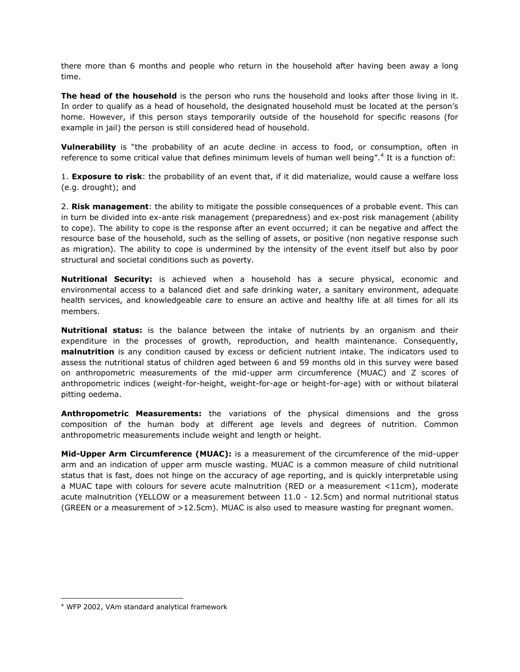there more than 6 months and people who return in the household after having been away a long time.

**The head of the household** is the person who runs the household and looks after those living in it. In order to qualify as a head of household, the designated household must be located at the person's home. However, if this person stays temporarily outside of the household for specific reasons (for example in jail) the person is still considered head of household.

**Vulnerability** is "the probability of an acute decline in access to food, or consumption, often in reference to some critical value that defines minimum levels of human well being".<sup>4</sup> It is a function of:

1. **Exposure to risk**: the probability of an event that, if it did materialize, would cause a welfare loss (e.g. drought); and

2. **Risk management**: the ability to mitigate the possible consequences of a probable event. This can in turn be divided into ex-ante risk management (preparedness) and ex-post risk management (ability to cope). The ability to cope is the response after an event occurred; it can be negative and affect the resource base of the household, such as the selling of assets, or positive (non negative response such as migration). The ability to cope is undermined by the intensity of the event itself but also by poor structural and societal conditions such as poverty.

**Nutritional Security:** is achieved when a household has a secure physical, economic and environmental access to a balanced diet and safe drinking water, a sanitary environment, adequate health services, and knowledgeable care to ensure an active and healthy life at all times for all its members.

**Nutritional status:** is the balance between the intake of nutrients by an organism and their expenditure in the processes of growth, reproduction, and health maintenance. Consequently, **malnutrition** is any condition caused by excess or deficient nutrient intake. The indicators used to assess the nutritional status of children aged between 6 and 59 months old in this survey were based on anthropometric measurements of the mid-upper arm circumference (MUAC) and Z scores of anthropometric indices (weight-for-height, weight-for-age or height-for-age) with or without bilateral pitting oedema.

**Anthropometric Measurements:** the variations of the physical dimensions and the gross composition of the human body at different age levels and degrees of nutrition. Common anthropometric measurements include weight and length or height.

**Mid-Upper Arm Circumference (MUAC):** is a measurement of the circumference of the mid-upper arm and an indication of upper arm muscle wasting. MUAC is a common measure of child nutritional status that is fast, does not hinge on the accuracy of age reporting, and is quickly interpretable using a MUAC tape with colours for severe acute malnutrition (RED or a measurement <11cm), moderate acute malnutrition (YELLOW or a measurement between 11.0 - 12.5cm) and normal nutritional status (GREEN or a measurement of >12.5cm). MUAC is also used to measure wasting for pregnant women.

1

<sup>4</sup> WFP 2002, VAm standard analytical framework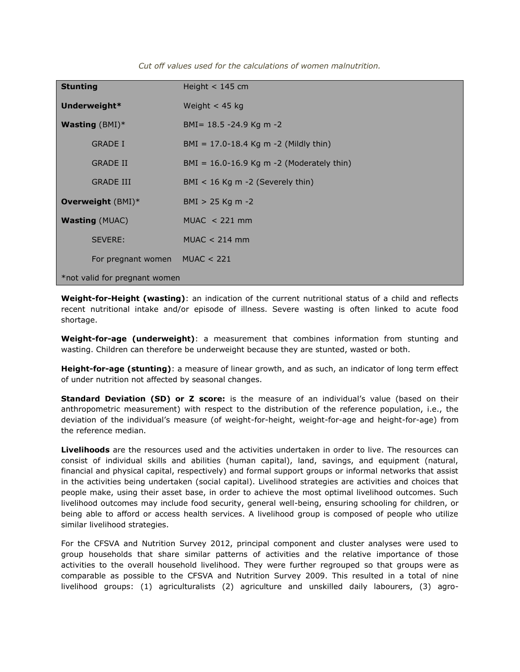| <b>Stunting</b>               | Height $<$ 145 cm                           |  |  |
|-------------------------------|---------------------------------------------|--|--|
| Underweight*                  | Weight $<$ 45 kg                            |  |  |
| <b>Wasting</b> $(BMI)^*$      | BMI = $18.5 - 24.9$ Kg m $-2$               |  |  |
| <b>GRADE I</b>                | $BMI = 17.0-18.4$ Kg m -2 (Mildly thin)     |  |  |
| <b>GRADE II</b>               | $BMI = 16.0-16.9$ Kg m -2 (Moderately thin) |  |  |
| <b>GRADE III</b>              | $BMI < 16$ Kg m -2 (Severely thin)          |  |  |
| Overweight $(BMI)^*$          | $BMI > 25$ Kg m -2                          |  |  |
| <b>Wasting (MUAC)</b>         | $MUAC < 221$ mm                             |  |  |
| SEVERE:                       | $MUAC < 214$ mm                             |  |  |
| For pregnant women MUAC < 221 |                                             |  |  |
| *not valid for pregnant women |                                             |  |  |

*Cut off values used for the calculations of women malnutrition.*

**Weight-for-Height (wasting)**: an indication of the current nutritional status of a child and reflects recent nutritional intake and/or episode of illness. Severe wasting is often linked to acute food shortage.

**Weight-for-age (underweight)**: a measurement that combines information from stunting and wasting. Children can therefore be underweight because they are stunted, wasted or both.

**Height-for-age (stunting)**: a measure of linear growth, and as such, an indicator of long term effect of under nutrition not affected by seasonal changes.

**Standard Deviation (SD) or Z score:** is the measure of an individual's value (based on their anthropometric measurement) with respect to the distribution of the reference population, i.e., the deviation of the individual's measure (of weight-for-height, weight-for-age and height-for-age) from the reference median.

**Livelihoods** are the resources used and the activities undertaken in order to live. The resources can consist of individual skills and abilities (human capital), land, savings, and equipment (natural, financial and physical capital, respectively) and formal support groups or informal networks that assist in the activities being undertaken (social capital). Livelihood strategies are activities and choices that people make, using their asset base, in order to achieve the most optimal livelihood outcomes. Such livelihood outcomes may include food security, general well-being, ensuring schooling for children, or being able to afford or access health services. A livelihood group is composed of people who utilize similar livelihood strategies.

For the CFSVA and Nutrition Survey 2012, principal component and cluster analyses were used to group households that share similar patterns of activities and the relative importance of those activities to the overall household livelihood. They were further regrouped so that groups were as comparable as possible to the CFSVA and Nutrition Survey 2009. This resulted in a total of nine livelihood groups: (1) agriculturalists (2) agriculture and unskilled daily labourers, (3) agro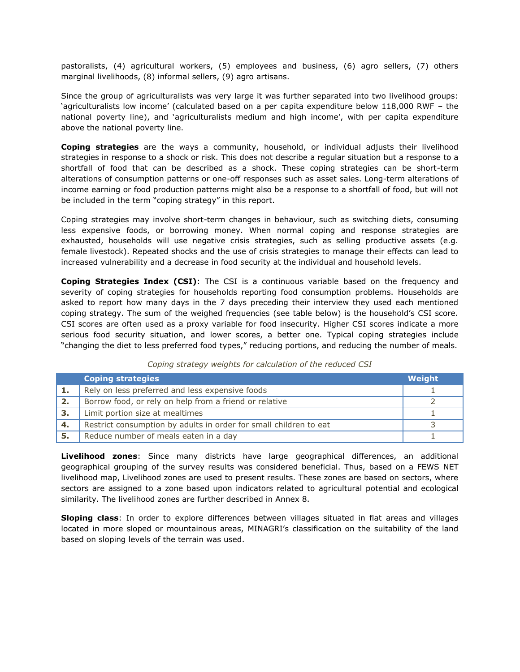pastoralists, (4) agricultural workers, (5) employees and business, (6) agro sellers, (7) others marginal livelihoods, (8) informal sellers, (9) agro artisans.

Since the group of agriculturalists was very large it was further separated into two livelihood groups: 'agriculturalists low income' (calculated based on a per capita expenditure below 118,000 RWF – the national poverty line), and 'agriculturalists medium and high income', with per capita expenditure above the national poverty line.

**Coping strategies** are the ways a community, household, or individual adjusts their livelihood strategies in response to a shock or risk. This does not describe a regular situation but a response to a shortfall of food that can be described as a shock. These coping strategies can be short-term alterations of consumption patterns or one-off responses such as asset sales. Long-term alterations of income earning or food production patterns might also be a response to a shortfall of food, but will not be included in the term "coping strategy" in this report.

Coping strategies may involve short-term changes in behaviour, such as switching diets, consuming less expensive foods, or borrowing money. When normal coping and response strategies are exhausted, households will use negative crisis strategies, such as selling productive assets (e.g. female livestock). Repeated shocks and the use of crisis strategies to manage their effects can lead to increased vulnerability and a decrease in food security at the individual and household levels.

**Coping Strategies Index (CSI)**: The CSI is a continuous variable based on the frequency and severity of coping strategies for households reporting food consumption problems. Households are asked to report how many days in the 7 days preceding their interview they used each mentioned coping strategy. The sum of the weighed frequencies (see table below) is the household's CSI score. CSI scores are often used as a proxy variable for food insecurity. Higher CSI scores indicate a more serious food security situation, and lower scores, a better one. Typical coping strategies include "changing the diet to less preferred food types," reducing portions, and reducing the number of meals.

|    | <b>Coping strategies</b>                                          | Weight |
|----|-------------------------------------------------------------------|--------|
|    | Rely on less preferred and less expensive foods                   |        |
| 2. | Borrow food, or rely on help from a friend or relative            |        |
| 3. | Limit portion size at mealtimes                                   |        |
| 4. | Restrict consumption by adults in order for small children to eat |        |
| 5. | Reduce number of meals eaten in a day                             |        |

## *Coping strategy weights for calculation of the reduced CSI*

**Livelihood zones**: Since many districts have large geographical differences, an additional geographical grouping of the survey results was considered beneficial. Thus, based on a FEWS NET livelihood map, Livelihood zones are used to present results. These zones are based on sectors, where sectors are assigned to a zone based upon indicators related to agricultural potential and ecological similarity. The livelihood zones are further described in Annex 8.

**Sloping class**: In order to explore differences between villages situated in flat areas and villages located in more sloped or mountainous areas, MINAGRI's classification on the suitability of the land based on sloping levels of the terrain was used.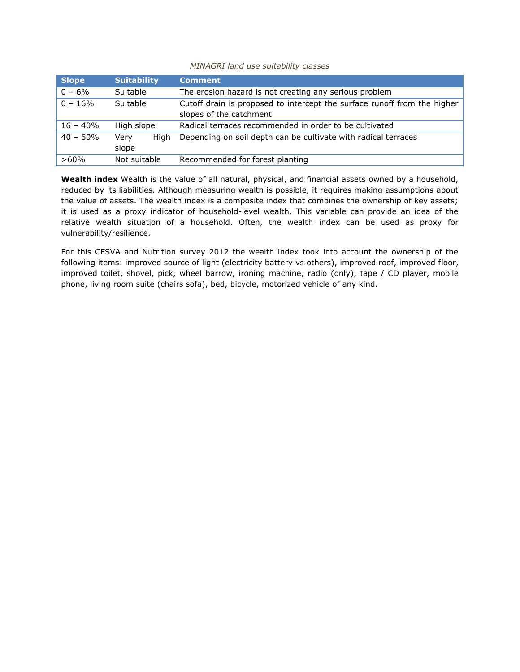## *MINAGRI land use suitability classes*

| <b>Slope</b>            | <b>Suitability</b> |      | <b>Comment</b>                                                           |  |
|-------------------------|--------------------|------|--------------------------------------------------------------------------|--|
| $0 - 6\%$<br>Suitable   |                    |      | The erosion hazard is not creating any serious problem                   |  |
| $0 - 16\%$<br>Suitable  |                    |      | Cutoff drain is proposed to intercept the surface runoff from the higher |  |
|                         |                    |      | slopes of the catchment                                                  |  |
| $16 - 40%$              | High slope         |      | Radical terraces recommended in order to be cultivated                   |  |
| $40 - 60\%$             | Very               | Hiah | Depending on soil depth can be cultivate with radical terraces           |  |
|                         | slope              |      |                                                                          |  |
| Not suitable<br>$>60\%$ |                    |      | Recommended for forest planting                                          |  |

**Wealth index** Wealth is the value of all natural, physical, and financial assets owned by a household, reduced by its liabilities. Although measuring wealth is possible, it requires making assumptions about the value of assets. The wealth index is a composite index that combines the ownership of key assets; it is used as a proxy indicator of household-level wealth. This variable can provide an idea of the relative wealth situation of a household. Often, the wealth index can be used as proxy for vulnerability/resilience.

For this CFSVA and Nutrition survey 2012 the wealth index took into account the ownership of the following items: improved source of light (electricity battery vs others), improved roof, improved floor, improved toilet, shovel, pick, wheel barrow, ironing machine, radio (only), tape / CD player, mobile phone, living room suite (chairs sofa), bed, bicycle, motorized vehicle of any kind.